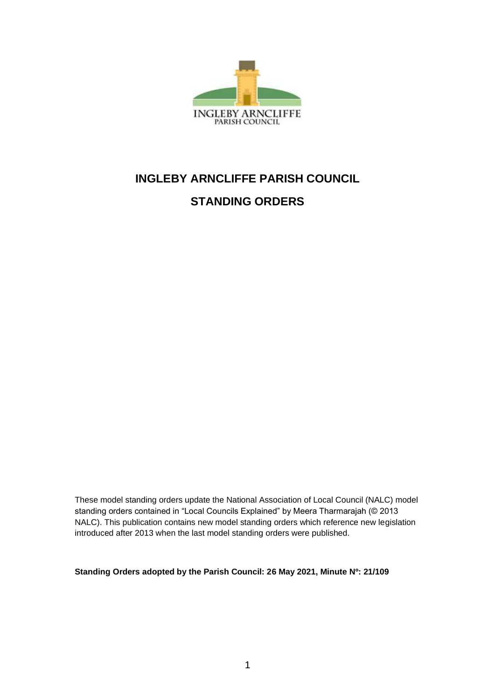

# **INGLEBY ARNCLIFFE PARISH COUNCIL STANDING ORDERS**

These model standing orders update the National Association of Local Council (NALC) model standing orders contained in "Local Councils Explained" by Meera Tharmarajah (© 2013 NALC). This publication contains new model standing orders which reference new legislation introduced after 2013 when the last model standing orders were published.

**Standing Orders adopted by the Parish Council: 26 May 2021, Minute Nº: 21/109**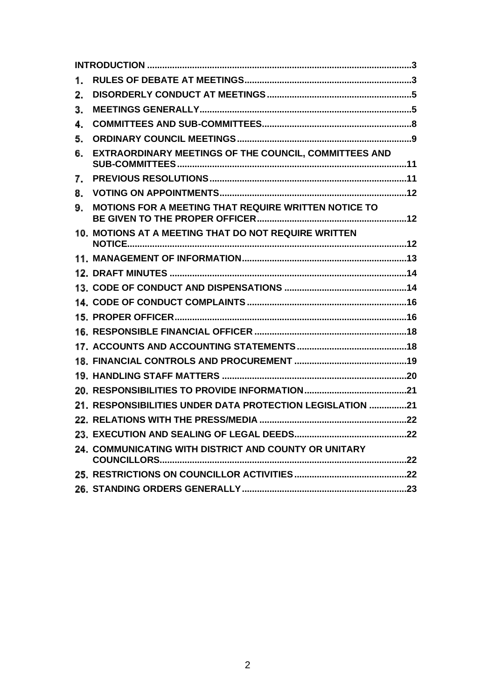| 1. |                                                           |
|----|-----------------------------------------------------------|
| 2. |                                                           |
| 3. |                                                           |
| 4. |                                                           |
| 5. |                                                           |
| 6. | EXTRAORDINARY MEETINGS OF THE COUNCIL, COMMITTEES AND     |
| 7. |                                                           |
| 8. |                                                           |
| 9. | MOTIONS FOR A MEETING THAT REQUIRE WRITTEN NOTICE TO      |
|    | 10. MOTIONS AT A MEETING THAT DO NOT REQUIRE WRITTEN      |
|    |                                                           |
|    |                                                           |
|    |                                                           |
|    |                                                           |
|    |                                                           |
|    |                                                           |
|    |                                                           |
|    |                                                           |
|    |                                                           |
|    |                                                           |
|    | 21. RESPONSIBILITIES UNDER DATA PROTECTION LEGISLATION 21 |
|    |                                                           |
|    |                                                           |
|    | 24. COMMUNICATING WITH DISTRICT AND COUNTY OR UNITARY     |
|    |                                                           |
|    |                                                           |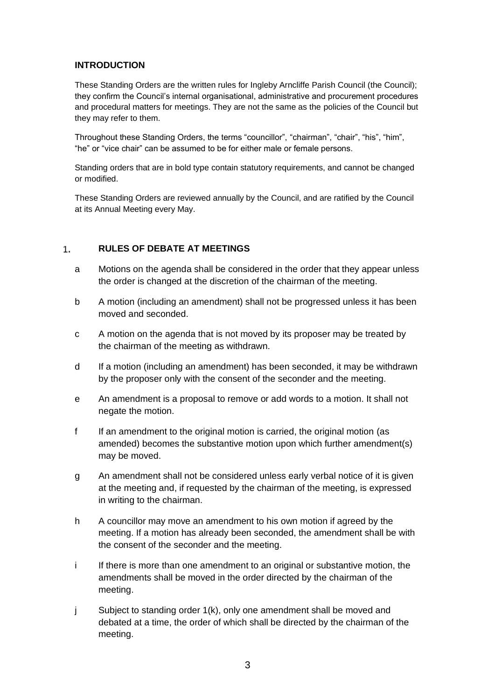# <span id="page-2-0"></span>**INTRODUCTION**

These Standing Orders are the written rules for Ingleby Arncliffe Parish Council (the Council); they confirm the Council's internal organisational, administrative and procurement procedures and procedural matters for meetings. They are not the same as the policies of the Council but they may refer to them.

Throughout these Standing Orders, the terms "councillor", "chairman", "chair", "his", "him", "he" or "vice chair" can be assumed to be for either male or female persons.

Standing orders that are in bold type contain statutory requirements, and cannot be changed or modified.

These Standing Orders are reviewed annually by the Council, and are ratified by the Council at its Annual Meeting every May.

#### <span id="page-2-1"></span>**RULES OF DEBATE AT MEETINGS**  $1.$

- a Motions on the agenda shall be considered in the order that they appear unless the order is changed at the discretion of the chairman of the meeting.
- b A motion (including an amendment) shall not be progressed unless it has been moved and seconded.
- c A motion on the agenda that is not moved by its proposer may be treated by the chairman of the meeting as withdrawn.
- d If a motion (including an amendment) has been seconded, it may be withdrawn by the proposer only with the consent of the seconder and the meeting.
- e An amendment is a proposal to remove or add words to a motion. It shall not negate the motion.
- f If an amendment to the original motion is carried, the original motion (as amended) becomes the substantive motion upon which further amendment(s) may be moved.
- g An amendment shall not be considered unless early verbal notice of it is given at the meeting and, if requested by the chairman of the meeting, is expressed in writing to the chairman.
- h A councillor may move an amendment to his own motion if agreed by the meeting. If a motion has already been seconded, the amendment shall be with the consent of the seconder and the meeting.
- i If there is more than one amendment to an original or substantive motion, the amendments shall be moved in the order directed by the chairman of the meeting.
- j Subject to standing order 1(k), only one amendment shall be moved and debated at a time, the order of which shall be directed by the chairman of the meeting.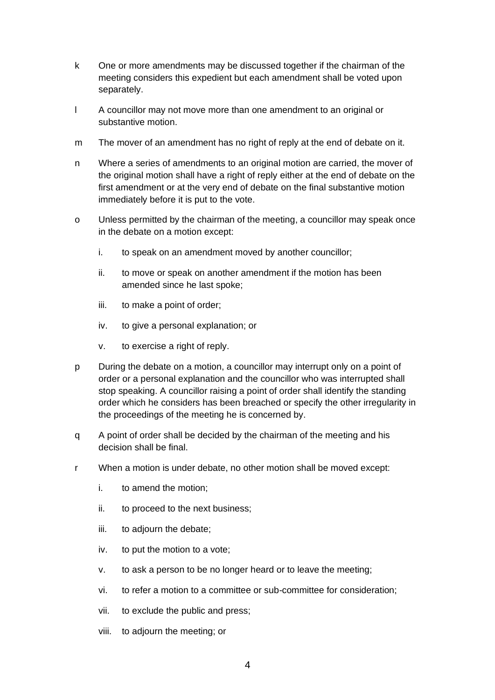- k One or more amendments may be discussed together if the chairman of the meeting considers this expedient but each amendment shall be voted upon separately.
- l A councillor may not move more than one amendment to an original or substantive motion.
- m The mover of an amendment has no right of reply at the end of debate on it.
- n Where a series of amendments to an original motion are carried, the mover of the original motion shall have a right of reply either at the end of debate on the first amendment or at the very end of debate on the final substantive motion immediately before it is put to the vote.
- o Unless permitted by the chairman of the meeting, a councillor may speak once in the debate on a motion except:
	- i. to speak on an amendment moved by another councillor;
	- ii. to move or speak on another amendment if the motion has been amended since he last spoke;
	- iii. to make a point of order;
	- iv. to give a personal explanation; or
	- v. to exercise a right of reply.
- p During the debate on a motion, a councillor may interrupt only on a point of order or a personal explanation and the councillor who was interrupted shall stop speaking. A councillor raising a point of order shall identify the standing order which he considers has been breached or specify the other irregularity in the proceedings of the meeting he is concerned by.
- q A point of order shall be decided by the chairman of the meeting and his decision shall be final.
- r When a motion is under debate, no other motion shall be moved except:
	- i. to amend the motion;
	- ii. to proceed to the next business;
	- iii. to adjourn the debate;
	- iv. to put the motion to a vote;
	- v. to ask a person to be no longer heard or to leave the meeting;
	- vi. to refer a motion to a committee or sub-committee for consideration;
	- vii. to exclude the public and press;
	- viii. to adjourn the meeting; or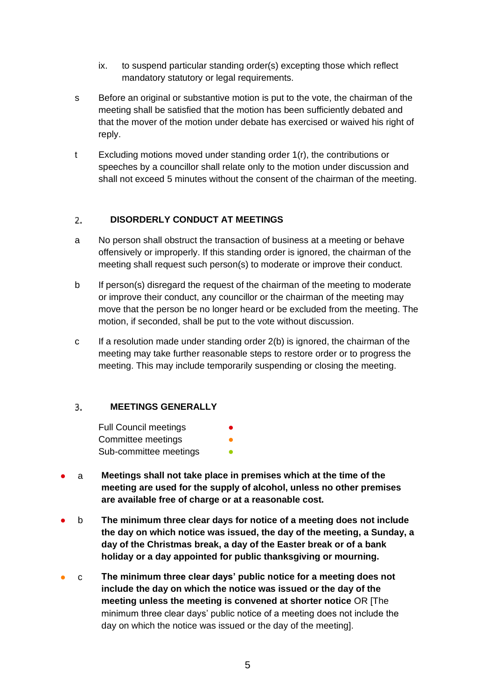- ix. to suspend particular standing order(s) excepting those which reflect mandatory statutory or legal requirements.
- s Before an original or substantive motion is put to the vote, the chairman of the meeting shall be satisfied that the motion has been sufficiently debated and that the mover of the motion under debate has exercised or waived his right of reply.
- t Excluding motions moved under standing order 1(r), the contributions or speeches by a councillor shall relate only to the motion under discussion and shall not exceed 5 minutes without the consent of the chairman of the meeting.

#### <span id="page-4-0"></span>**DISORDERLY CONDUCT AT MEETINGS** 2.

- a No person shall obstruct the transaction of business at a meeting or behave offensively or improperly. If this standing order is ignored, the chairman of the meeting shall request such person(s) to moderate or improve their conduct.
- b If person(s) disregard the request of the chairman of the meeting to moderate or improve their conduct, any councillor or the chairman of the meeting may move that the person be no longer heard or be excluded from the meeting. The motion, if seconded, shall be put to the vote without discussion.
- c If a resolution made under standing order 2(b) is ignored, the chairman of the meeting may take further reasonable steps to restore order or to progress the meeting. This may include temporarily suspending or closing the meeting.

#### <span id="page-4-1"></span>**MEETINGS GENERALLY** 3.

- Full Council meetings Committee meetings Sub-committee meetings
- a **Meetings shall not take place in premises which at the time of the meeting are used for the supply of alcohol, unless no other premises are available free of charge or at a reasonable cost.**
- b **The minimum three clear days for notice of a meeting does not include the day on which notice was issued, the day of the meeting, a Sunday, a day of the Christmas break, a day of the Easter break or of a bank holiday or a day appointed for public thanksgiving or mourning.**
- c **The minimum three clear days' public notice for a meeting does not include the day on which the notice was issued or the day of the meeting unless the meeting is convened at shorter notice** OR [The minimum three clear days' public notice of a meeting does not include the day on which the notice was issued or the day of the meeting].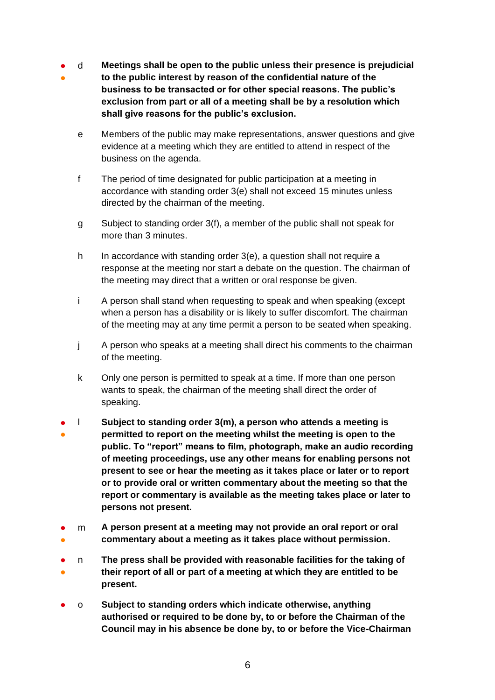- d **Meetings shall be open to the public unless their presence is prejudicial**
- **to the public interest by reason of the confidential nature of the business to be transacted or for other special reasons. The public's exclusion from part or all of a meeting shall be by a resolution which shall give reasons for the public's exclusion.**
	- e Members of the public may make representations, answer questions and give evidence at a meeting which they are entitled to attend in respect of the business on the agenda.
	- f The period of time designated for public participation at a meeting in accordance with standing order 3(e) shall not exceed 15 minutes unless directed by the chairman of the meeting.
	- g Subject to standing order 3(f), a member of the public shall not speak for more than 3 minutes.
	- h In accordance with standing order 3(e), a question shall not require a response at the meeting nor start a debate on the question. The chairman of the meeting may direct that a written or oral response be given.
	- i A person shall stand when requesting to speak and when speaking (except when a person has a disability or is likely to suffer discomfort. The chairman of the meeting may at any time permit a person to be seated when speaking.
	- j A person who speaks at a meeting shall direct his comments to the chairman of the meeting.
	- k Only one person is permitted to speak at a time. If more than one person wants to speak, the chairman of the meeting shall direct the order of speaking.
- ● l **Subject to standing order 3(m), a person who attends a meeting is permitted to report on the meeting whilst the meeting is open to the public. To "report" means to film, photograph, make an audio recording of meeting proceedings, use any other means for enabling persons not present to see or hear the meeting as it takes place or later or to report or to provide oral or written commentary about the meeting so that the report or commentary is available as the meeting takes place or later to persons not present.**
- ● m **A person present at a meeting may not provide an oral report or oral commentary about a meeting as it takes place without permission.**
- ● n **The press shall be provided with reasonable facilities for the taking of their report of all or part of a meeting at which they are entitled to be present.**
- o **Subject to standing orders which indicate otherwise, anything authorised or required to be done by, to or before the Chairman of the Council may in his absence be done by, to or before the Vice-Chairman**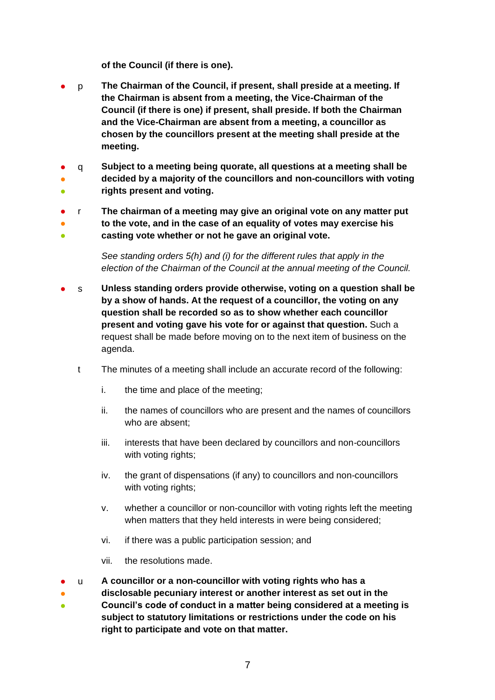**of the Council (if there is one).**

- p **The Chairman of the Council, if present, shall preside at a meeting. If the Chairman is absent from a meeting, the Vice-Chairman of the Council (if there is one) if present, shall preside. If both the Chairman and the Vice-Chairman are absent from a meeting, a councillor as chosen by the councillors present at the meeting shall preside at the meeting.**
- ● ● q **Subject to a meeting being quorate, all questions at a meeting shall be decided by a majority of the councillors and non-councillors with voting rights present and voting.**
- ● ● r **The chairman of a meeting may give an original vote on any matter put to the vote, and in the case of an equality of votes may exercise his casting vote whether or not he gave an original vote.**

*See standing orders 5(h) and (i) for the different rules that apply in the election of the Chairman of the Council at the annual meeting of the Council.*

- s **Unless standing orders provide otherwise, voting on a question shall be by a show of hands. At the request of a councillor, the voting on any question shall be recorded so as to show whether each councillor present and voting gave his vote for or against that question.** Such a request shall be made before moving on to the next item of business on the agenda.
	- t The minutes of a meeting shall include an accurate record of the following:
		- i. the time and place of the meeting;
		- ii. the names of councillors who are present and the names of councillors who are absent;
		- iii. interests that have been declared by councillors and non-councillors with voting rights;
		- iv. the grant of dispensations (if any) to councillors and non-councillors with voting rights;
		- v. whether a councillor or non-councillor with voting rights left the meeting when matters that they held interests in were being considered;
		- vi. if there was a public participation session; and
		- vii. the resolutions made.
- u **A councillor or a non-councillor with voting rights who has a**
- **disclosable pecuniary interest or another interest as set out in the**
- **Council's code of conduct in a matter being considered at a meeting is subject to statutory limitations or restrictions under the code on his right to participate and vote on that matter.**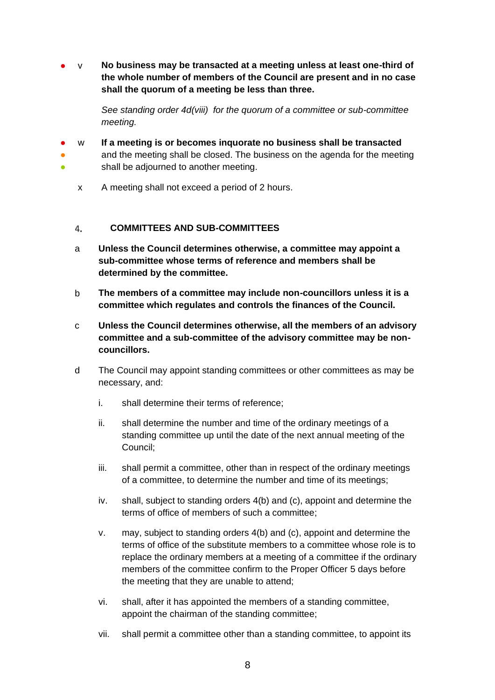● v **No business may be transacted at a meeting unless at least one-third of the whole number of members of the Council are present and in no case shall the quorum of a meeting be less than three.**

> *See standing order 4d(viii) for the quorum of a committee or sub-committee meeting.*

- w **If a meeting is or becomes inquorate no business shall be transacted**
- ● and the meeting shall be closed. The business on the agenda for the meeting shall be adjourned to another meeting.
	- x A meeting shall not exceed a period of 2 hours.

#### <span id="page-7-0"></span>**COMMITTEES AND SUB-COMMITTEES** 4.

- a **Unless the Council determines otherwise, a committee may appoint a sub-committee whose terms of reference and members shall be determined by the committee.**
- b **The members of a committee may include non-councillors unless it is a committee which regulates and controls the finances of the Council.**
- c **Unless the Council determines otherwise, all the members of an advisory committee and a sub-committee of the advisory committee may be noncouncillors.**
- d The Council may appoint standing committees or other committees as may be necessary, and:
	- i. shall determine their terms of reference;
	- ii. shall determine the number and time of the ordinary meetings of a standing committee up until the date of the next annual meeting of the Council;
	- iii. shall permit a committee, other than in respect of the ordinary meetings of a committee, to determine the number and time of its meetings;
	- iv. shall, subject to standing orders 4(b) and (c), appoint and determine the terms of office of members of such a committee;
	- v. may, subject to standing orders 4(b) and (c), appoint and determine the terms of office of the substitute members to a committee whose role is to replace the ordinary members at a meeting of a committee if the ordinary members of the committee confirm to the Proper Officer 5 days before the meeting that they are unable to attend;
	- vi. shall, after it has appointed the members of a standing committee, appoint the chairman of the standing committee;
	- vii. shall permit a committee other than a standing committee, to appoint its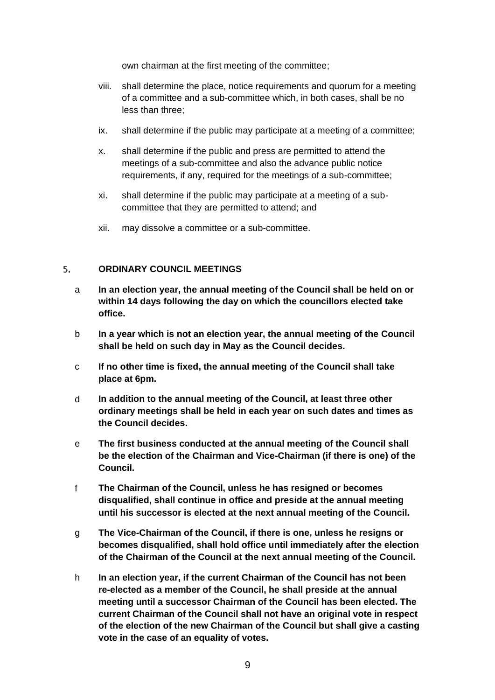own chairman at the first meeting of the committee;

- viii. shall determine the place, notice requirements and quorum for a meeting of a committee and a sub-committee which, in both cases, shall be no less than three;
- ix. shall determine if the public may participate at a meeting of a committee;
- x. shall determine if the public and press are permitted to attend the meetings of a sub-committee and also the advance public notice requirements, if any, required for the meetings of a sub-committee;
- xi. shall determine if the public may participate at a meeting of a subcommittee that they are permitted to attend; and
- xii. may dissolve a committee or a sub-committee.

#### <span id="page-8-0"></span>5. **ORDINARY COUNCIL MEETINGS**

- a **In an election year, the annual meeting of the Council shall be held on or within 14 days following the day on which the councillors elected take office.**
- b **In a year which is not an election year, the annual meeting of the Council shall be held on such day in May as the Council decides.**
- c **If no other time is fixed, the annual meeting of the Council shall take place at 6pm.**
- d **In addition to the annual meeting of the Council, at least three other ordinary meetings shall be held in each year on such dates and times as the Council decides.**
- e **The first business conducted at the annual meeting of the Council shall be the election of the Chairman and Vice-Chairman (if there is one) of the Council.**
- f **The Chairman of the Council, unless he has resigned or becomes disqualified, shall continue in office and preside at the annual meeting until his successor is elected at the next annual meeting of the Council.**
- g **The Vice-Chairman of the Council, if there is one, unless he resigns or becomes disqualified, shall hold office until immediately after the election of the Chairman of the Council at the next annual meeting of the Council.**
- h **In an election year, if the current Chairman of the Council has not been re-elected as a member of the Council, he shall preside at the annual meeting until a successor Chairman of the Council has been elected. The current Chairman of the Council shall not have an original vote in respect of the election of the new Chairman of the Council but shall give a casting vote in the case of an equality of votes.**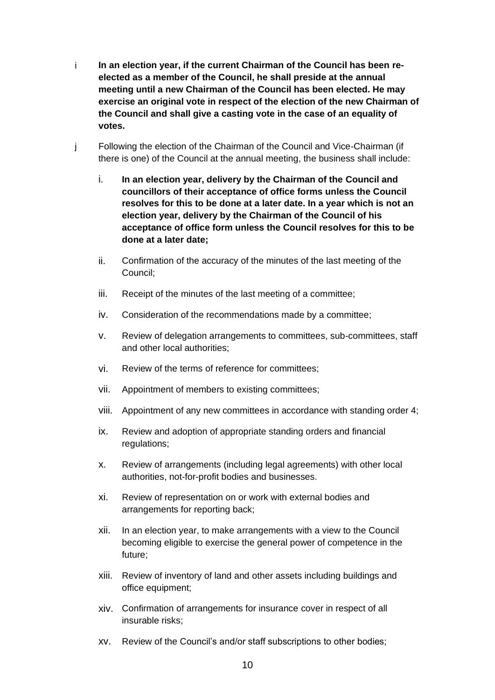- i **In an election year, if the current Chairman of the Council has been reelected as a member of the Council, he shall preside at the annual meeting until a new Chairman of the Council has been elected. He may exercise an original vote in respect of the election of the new Chairman of the Council and shall give a casting vote in the case of an equality of votes.**
- j Following the election of the Chairman of the Council and Vice-Chairman (if there is one) of the Council at the annual meeting, the business shall include:
	- i. **In an election year, delivery by the Chairman of the Council and councillors of their acceptance of office forms unless the Council resolves for this to be done at a later date. In a year which is not an election year, delivery by the Chairman of the Council of his acceptance of office form unless the Council resolves for this to be done at a later date;**
	- ii. Confirmation of the accuracy of the minutes of the last meeting of the Council;
	- iii. Receipt of the minutes of the last meeting of a committee;
	- iv. Consideration of the recommendations made by a committee;
	- v. Review of delegation arrangements to committees, sub-committees, staff and other local authorities;
	- vi. Review of the terms of reference for committees;
	- vii. Appointment of members to existing committees;
	- viii. Appointment of any new committees in accordance with standing order 4;
	- ix. Review and adoption of appropriate standing orders and financial regulations;
	- x. Review of arrangements (including legal agreements) with other local authorities, not-for-profit bodies and businesses.
	- xi. Review of representation on or work with external bodies and arrangements for reporting back;
	- xii. In an election year, to make arrangements with a view to the Council becoming eligible to exercise the general power of competence in the future;
	- xiii. Review of inventory of land and other assets including buildings and office equipment;
	- xiv. Confirmation of arrangements for insurance cover in respect of all insurable risks;
	- xv. Review of the Council's and/or staff subscriptions to other bodies;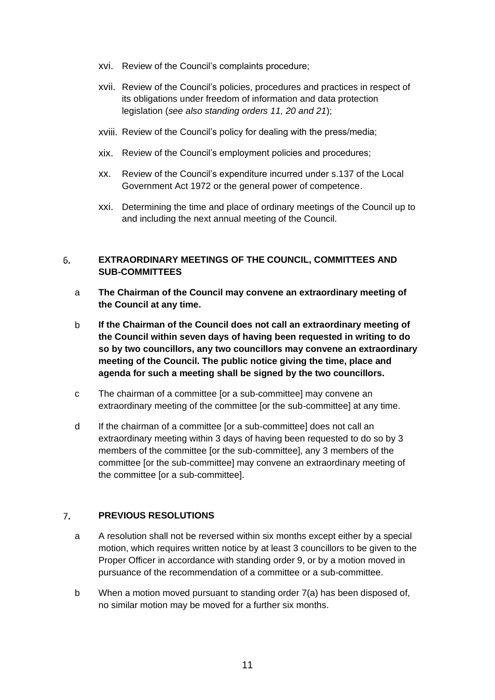- xvi. Review of the Council's complaints procedure;
- xvii. Review of the Council's policies, procedures and practices in respect of its obligations under freedom of information and data protection legislation (*see also standing orders 11, 20 and 21*);
- xviii. Review of the Council's policy for dealing with the press/media;
- xix. Review of the Council's employment policies and procedures;
- xx. Review of the Council's expenditure incurred under s.137 of the Local Government Act 1972 or the general power of competence.
- xxi. Determining the time and place of ordinary meetings of the Council up to and including the next annual meeting of the Council.

### <span id="page-10-0"></span>6. **EXTRAORDINARY MEETINGS OF THE COUNCIL, COMMITTEES AND SUB-COMMITTEES**

- a **The Chairman of the Council may convene an extraordinary meeting of the Council at any time.**
- b **If the Chairman of the Council does not call an extraordinary meeting of the Council within seven days of having been requested in writing to do so by two councillors, any two councillors may convene an extraordinary meeting of the Council. The public notice giving the time, place and agenda for such a meeting shall be signed by the two councillors.**
- c The chairman of a committee [or a sub-committee] may convene an extraordinary meeting of the committee [or the sub-committee] at any time.
- d If the chairman of a committee [or a sub-committee] does not call an extraordinary meeting within 3 days of having been requested to do so by 3 members of the committee [or the sub-committee], any 3 members of the committee [or the sub-committee] may convene an extraordinary meeting of the committee [or a sub-committee].

#### <span id="page-10-1"></span>**PREVIOUS RESOLUTIONS**  $7<sub>1</sub>$

- a A resolution shall not be reversed within six months except either by a special motion, which requires written notice by at least 3 councillors to be given to the Proper Officer in accordance with standing order 9, or by a motion moved in pursuance of the recommendation of a committee or a sub-committee.
- b When a motion moved pursuant to standing order 7(a) has been disposed of, no similar motion may be moved for a further six months.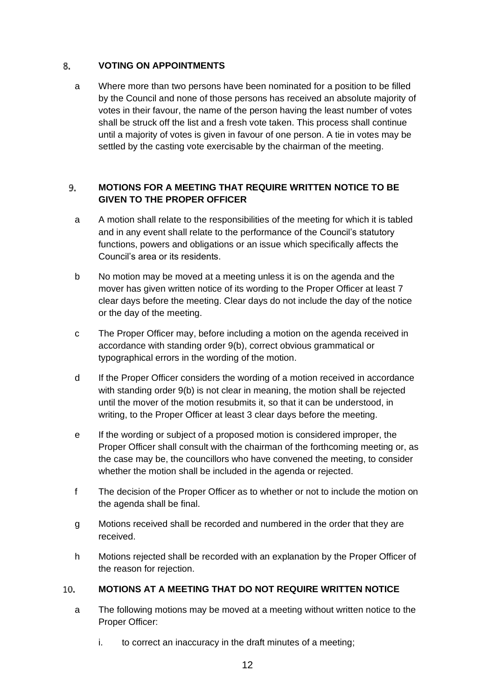#### <span id="page-11-0"></span>8. **VOTING ON APPOINTMENTS**

a Where more than two persons have been nominated for a position to be filled by the Council and none of those persons has received an absolute majority of votes in their favour, the name of the person having the least number of votes shall be struck off the list and a fresh vote taken. This process shall continue until a majority of votes is given in favour of one person. A tie in votes may be settled by the casting vote exercisable by the chairman of the meeting.

## <span id="page-11-1"></span>**MOTIONS FOR A MEETING THAT REQUIRE WRITTEN NOTICE TO BE**  9. **GIVEN TO THE PROPER OFFICER**

- a A motion shall relate to the responsibilities of the meeting for which it is tabled and in any event shall relate to the performance of the Council's statutory functions, powers and obligations or an issue which specifically affects the Council's area or its residents.
- b No motion may be moved at a meeting unless it is on the agenda and the mover has given written notice of its wording to the Proper Officer at least 7 clear days before the meeting. Clear days do not include the day of the notice or the day of the meeting.
- c The Proper Officer may, before including a motion on the agenda received in accordance with standing order 9(b), correct obvious grammatical or typographical errors in the wording of the motion.
- d If the Proper Officer considers the wording of a motion received in accordance with standing order 9(b) is not clear in meaning, the motion shall be rejected until the mover of the motion resubmits it, so that it can be understood, in writing, to the Proper Officer at least 3 clear days before the meeting.
- e If the wording or subject of a proposed motion is considered improper, the Proper Officer shall consult with the chairman of the forthcoming meeting or, as the case may be, the councillors who have convened the meeting, to consider whether the motion shall be included in the agenda or rejected.
- f The decision of the Proper Officer as to whether or not to include the motion on the agenda shall be final.
- g Motions received shall be recorded and numbered in the order that they are received.
- h Motions rejected shall be recorded with an explanation by the Proper Officer of the reason for rejection.

#### <span id="page-11-2"></span>**MOTIONS AT A MEETING THAT DO NOT REQUIRE WRITTEN NOTICE**  10.

- a The following motions may be moved at a meeting without written notice to the Proper Officer:
	- i. to correct an inaccuracy in the draft minutes of a meeting;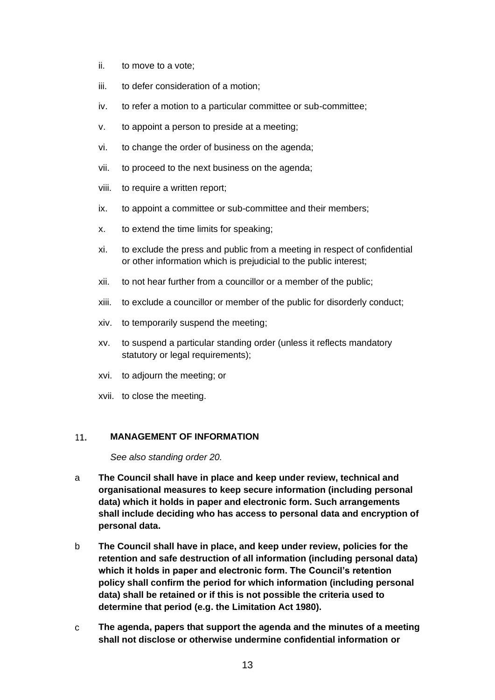- ii. to move to a vote;
- iii. to defer consideration of a motion;
- iv. to refer a motion to a particular committee or sub-committee;
- v. to appoint a person to preside at a meeting;
- vi. to change the order of business on the agenda;
- vii. to proceed to the next business on the agenda;
- viii. to require a written report;
- ix. to appoint a committee or sub-committee and their members;
- x. to extend the time limits for speaking;
- xi. to exclude the press and public from a meeting in respect of confidential or other information which is prejudicial to the public interest;
- xii. to not hear further from a councillor or a member of the public;
- xiii. to exclude a councillor or member of the public for disorderly conduct;
- xiv. to temporarily suspend the meeting;
- xv. to suspend a particular standing order (unless it reflects mandatory statutory or legal requirements);
- xvi. to adjourn the meeting; or
- xvii. to close the meeting.

#### <span id="page-12-0"></span> $11.$ **MANAGEMENT OF INFORMATION**

*See also standing order 20.*

- a **The Council shall have in place and keep under review, technical and organisational measures to keep secure information (including personal data) which it holds in paper and electronic form. Such arrangements shall include deciding who has access to personal data and encryption of personal data.**
- b **The Council shall have in place, and keep under review, policies for the retention and safe destruction of all information (including personal data) which it holds in paper and electronic form. The Council's retention policy shall confirm the period for which information (including personal data) shall be retained or if this is not possible the criteria used to determine that period (e.g. the Limitation Act 1980).**
- c **The agenda, papers that support the agenda and the minutes of a meeting shall not disclose or otherwise undermine confidential information or**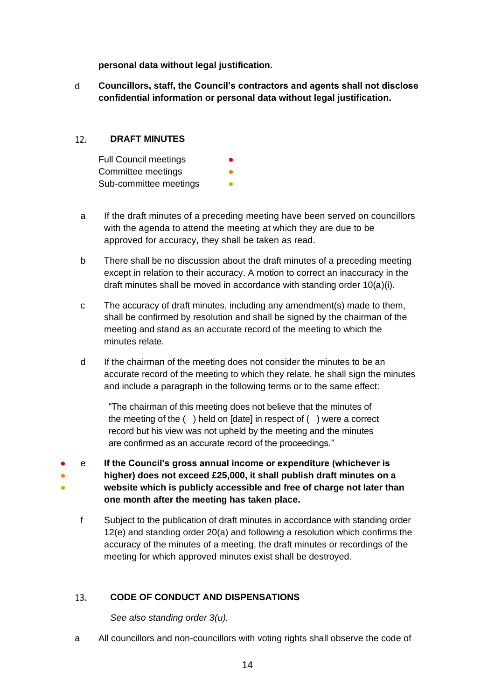**personal data without legal justification.** 

d **Councillors, staff, the Council's contractors and agents shall not disclose confidential information or personal data without legal justification.**

#### <span id="page-13-0"></span> $12.$ **DRAFT MINUTES**

| <b>Full Council meetings</b> | ● |
|------------------------------|---|
| Committee meetings           |   |
| Sub-committee meetings       |   |

- a If the draft minutes of a preceding meeting have been served on councillors with the agenda to attend the meeting at which they are due to be approved for accuracy, they shall be taken as read.
- b There shall be no discussion about the draft minutes of a preceding meeting except in relation to their accuracy. A motion to correct an inaccuracy in the draft minutes shall be moved in accordance with standing order 10(a)(i).
- c The accuracy of draft minutes, including any amendment(s) made to them, shall be confirmed by resolution and shall be signed by the chairman of the meeting and stand as an accurate record of the meeting to which the minutes relate.
- d If the chairman of the meeting does not consider the minutes to be an accurate record of the meeting to which they relate, he shall sign the minutes and include a paragraph in the following terms or to the same effect:

"The chairman of this meeting does not believe that the minutes of the meeting of the ( ) held on [date] in respect of ( ) were a correct record but his view was not upheld by the meeting and the minutes are confirmed as an accurate record of the proceedings."

- ● ● e **If the Council's gross annual income or expenditure (whichever is higher) does not exceed £25,000, it shall publish draft minutes on a website which is publicly accessible and free of charge not later than one month after the meeting has taken place.**
	- f Subject to the publication of draft minutes in accordance with standing order 12(e) and standing order 20(a) and following a resolution which confirms the accuracy of the minutes of a meeting, the draft minutes or recordings of the meeting for which approved minutes exist shall be destroyed.

#### <span id="page-13-1"></span>**CODE OF CONDUCT AND DISPENSATIONS** 13.

*See also standing order 3(u).*

a All councillors and non-councillors with voting rights shall observe the code of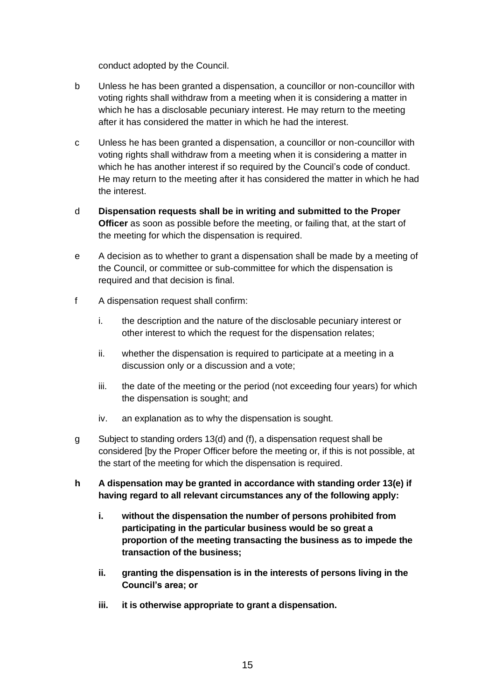conduct adopted by the Council.

- b Unless he has been granted a dispensation, a councillor or non-councillor with voting rights shall withdraw from a meeting when it is considering a matter in which he has a disclosable pecuniary interest. He may return to the meeting after it has considered the matter in which he had the interest.
- c Unless he has been granted a dispensation, a councillor or non-councillor with voting rights shall withdraw from a meeting when it is considering a matter in which he has another interest if so required by the Council's code of conduct. He may return to the meeting after it has considered the matter in which he had the interest.
- d **Dispensation requests shall be in writing and submitted to the Proper Officer** as soon as possible before the meeting, or failing that, at the start of the meeting for which the dispensation is required.
- e A decision as to whether to grant a dispensation shall be made by a meeting of the Council, or committee or sub-committee for which the dispensation is required and that decision is final.
- f A dispensation request shall confirm:
	- i. the description and the nature of the disclosable pecuniary interest or other interest to which the request for the dispensation relates;
	- ii. whether the dispensation is required to participate at a meeting in a discussion only or a discussion and a vote;
	- iii. the date of the meeting or the period (not exceeding four years) for which the dispensation is sought; and
	- iv. an explanation as to why the dispensation is sought.
- g Subject to standing orders 13(d) and (f), a dispensation request shall be considered [by the Proper Officer before the meeting or, if this is not possible, at the start of the meeting for which the dispensation is required.
- **h A dispensation may be granted in accordance with standing order 13(e) if having regard to all relevant circumstances any of the following apply:**
	- **i. without the dispensation the number of persons prohibited from participating in the particular business would be so great a proportion of the meeting transacting the business as to impede the transaction of the business;**
	- **ii. granting the dispensation is in the interests of persons living in the Council's area; or**
	- **iii. it is otherwise appropriate to grant a dispensation.**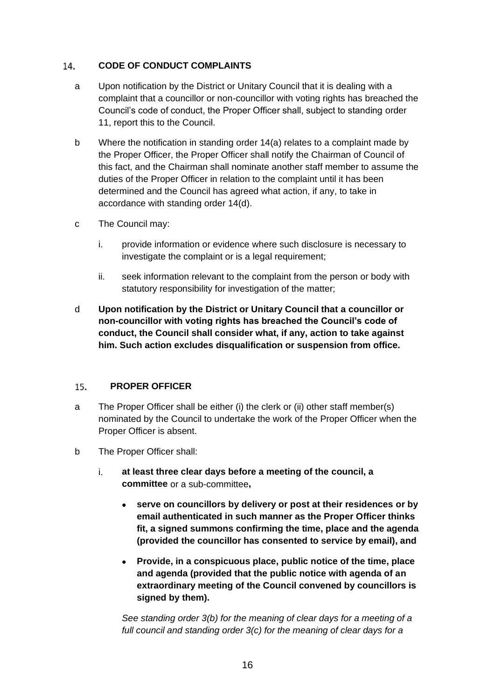#### <span id="page-15-0"></span> $14.$ **CODE OF CONDUCT COMPLAINTS**

- a Upon notification by the District or Unitary Council that it is dealing with a complaint that a councillor or non-councillor with voting rights has breached the Council's code of conduct, the Proper Officer shall, subject to standing order 11, report this to the Council.
- b Where the notification in standing order 14(a) relates to a complaint made by the Proper Officer, the Proper Officer shall notify the Chairman of Council of this fact, and the Chairman shall nominate another staff member to assume the duties of the Proper Officer in relation to the complaint until it has been determined and the Council has agreed what action, if any, to take in accordance with standing order 14(d).
- c The Council may:
	- i. provide information or evidence where such disclosure is necessary to investigate the complaint or is a legal requirement;
	- ii. seek information relevant to the complaint from the person or body with statutory responsibility for investigation of the matter;
- d **Upon notification by the District or Unitary Council that a councillor or non-councillor with voting rights has breached the Council's code of conduct, the Council shall consider what, if any, action to take against him. Such action excludes disqualification or suspension from office.**

#### <span id="page-15-1"></span>15. **PROPER OFFICER**

- a The Proper Officer shall be either (i) the clerk or (ii) other staff member(s) nominated by the Council to undertake the work of the Proper Officer when the Proper Officer is absent.
- b The Proper Officer shall:
	- i. **at least three clear days before a meeting of the council, a committee** or a sub-committee**,**
		- **serve on councillors by delivery or post at their residences or by email authenticated in such manner as the Proper Officer thinks fit, a signed summons confirming the time, place and the agenda (provided the councillor has consented to service by email), and**
		- **Provide, in a conspicuous place, public notice of the time, place and agenda (provided that the public notice with agenda of an extraordinary meeting of the Council convened by councillors is signed by them).**

*See standing order 3(b) for the meaning of clear days for a meeting of a full council and standing order 3(c) for the meaning of clear days for a*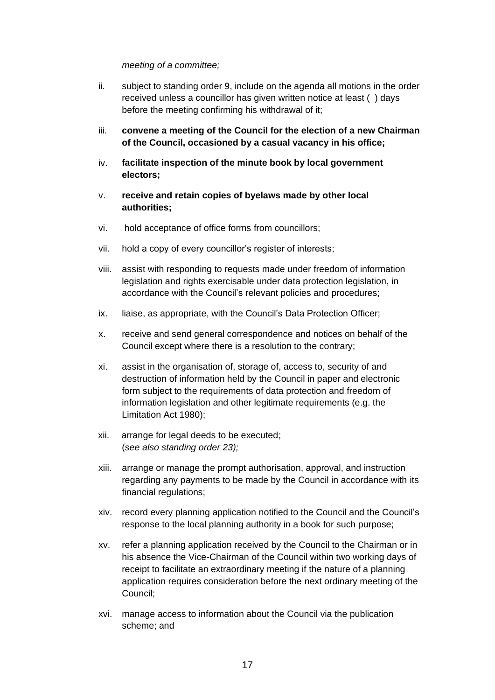# *meeting of a committee;*

- ii. subject to standing order 9, include on the agenda all motions in the order received unless a councillor has given written notice at least ( ) days before the meeting confirming his withdrawal of it;
- iii. **convene a meeting of the Council for the election of a new Chairman of the Council, occasioned by a casual vacancy in his office;**
- iv. **facilitate inspection of the minute book by local government electors;**
- v. **receive and retain copies of byelaws made by other local authorities;**
- vi. hold acceptance of office forms from councillors;
- vii. hold a copy of every councillor's register of interests;
- viii. assist with responding to requests made under freedom of information legislation and rights exercisable under data protection legislation, in accordance with the Council's relevant policies and procedures;
- ix. liaise, as appropriate, with the Council's Data Protection Officer;
- x. receive and send general correspondence and notices on behalf of the Council except where there is a resolution to the contrary;
- xi. assist in the organisation of, storage of, access to, security of and destruction of information held by the Council in paper and electronic form subject to the requirements of data protection and freedom of information legislation and other legitimate requirements (e.g. the Limitation Act 1980);
- xii. arrange for legal deeds to be executed; (*see also standing order 23);*
- xiii. arrange or manage the prompt authorisation, approval, and instruction regarding any payments to be made by the Council in accordance with its financial regulations;
- xiv. record every planning application notified to the Council and the Council's response to the local planning authority in a book for such purpose;
- xv. refer a planning application received by the Council to the Chairman or in his absence the Vice-Chairman of the Council within two working days of receipt to facilitate an extraordinary meeting if the nature of a planning application requires consideration before the next ordinary meeting of the Council;
- xvi. manage access to information about the Council via the publication scheme; and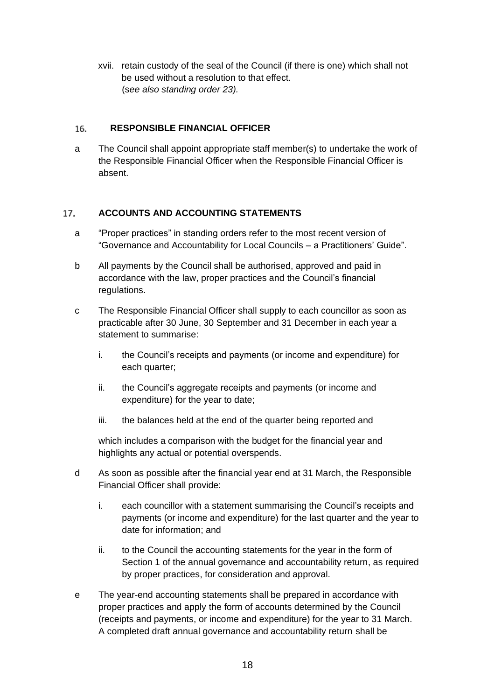xvii. retain custody of the seal of the Council (if there is one) which shall not be used without a resolution to that effect. (s*ee also standing order 23).*

#### <span id="page-17-0"></span>16. **RESPONSIBLE FINANCIAL OFFICER**

a The Council shall appoint appropriate staff member(s) to undertake the work of the Responsible Financial Officer when the Responsible Financial Officer is absent.

#### <span id="page-17-1"></span>17. **ACCOUNTS AND ACCOUNTING STATEMENTS**

- a "Proper practices" in standing orders refer to the most recent version of "Governance and Accountability for Local Councils – a Practitioners' Guide".
- b All payments by the Council shall be authorised, approved and paid in accordance with the law, proper practices and the Council's financial regulations.
- c The Responsible Financial Officer shall supply to each councillor as soon as practicable after 30 June, 30 September and 31 December in each year a statement to summarise:
	- i. the Council's receipts and payments (or income and expenditure) for each quarter;
	- ii. the Council's aggregate receipts and payments (or income and expenditure) for the year to date;
	- iii. the balances held at the end of the quarter being reported and

which includes a comparison with the budget for the financial year and highlights any actual or potential overspends.

- d As soon as possible after the financial year end at 31 March, the Responsible Financial Officer shall provide:
	- i. each councillor with a statement summarising the Council's receipts and payments (or income and expenditure) for the last quarter and the year to date for information; and
	- ii. to the Council the accounting statements for the year in the form of Section 1 of the annual governance and accountability return, as required by proper practices, for consideration and approval.
- e The year-end accounting statements shall be prepared in accordance with proper practices and apply the form of accounts determined by the Council (receipts and payments, or income and expenditure) for the year to 31 March. A completed draft annual governance and accountability return shall be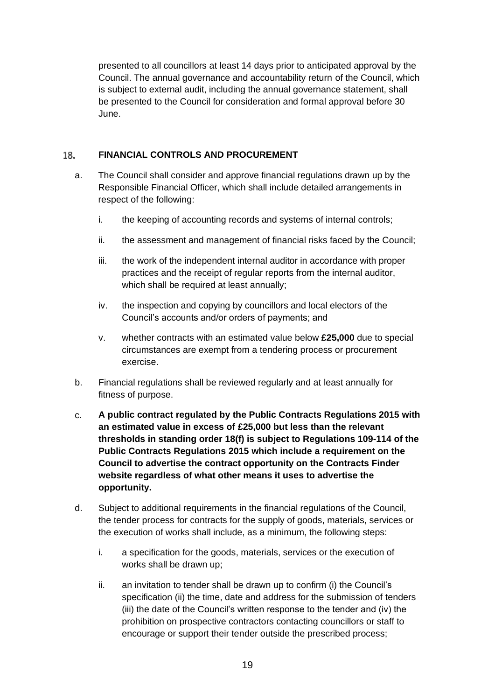presented to all councillors at least 14 days prior to anticipated approval by the Council. The annual governance and accountability return of the Council, which is subject to external audit, including the annual governance statement, shall be presented to the Council for consideration and formal approval before 30 June.

#### <span id="page-18-0"></span>**FINANCIAL CONTROLS AND PROCUREMENT** 18.

- a. The Council shall consider and approve financial regulations drawn up by the Responsible Financial Officer, which shall include detailed arrangements in respect of the following:
	- i. the keeping of accounting records and systems of internal controls;
	- ii. the assessment and management of financial risks faced by the Council;
	- iii. the work of the independent internal auditor in accordance with proper practices and the receipt of regular reports from the internal auditor, which shall be required at least annually;
	- iv. the inspection and copying by councillors and local electors of the Council's accounts and/or orders of payments; and
	- v. whether contracts with an estimated value below **£25,000** due to special circumstances are exempt from a tendering process or procurement exercise.
- b. Financial regulations shall be reviewed regularly and at least annually for fitness of purpose.
- c. **A public contract regulated by the Public Contracts Regulations 2015 with an estimated value in excess of £25,000 but less than the relevant thresholds in standing order 18(f) is subject to Regulations 109-114 of the Public Contracts Regulations 2015 which include a requirement on the Council to advertise the contract opportunity on the Contracts Finder website regardless of what other means it uses to advertise the opportunity.**
- d. Subject to additional requirements in the financial regulations of the Council, the tender process for contracts for the supply of goods, materials, services or the execution of works shall include, as a minimum, the following steps:
	- i. a specification for the goods, materials, services or the execution of works shall be drawn up;
	- ii. an invitation to tender shall be drawn up to confirm (i) the Council's specification (ii) the time, date and address for the submission of tenders (iii) the date of the Council's written response to the tender and (iv) the prohibition on prospective contractors contacting councillors or staff to encourage or support their tender outside the prescribed process;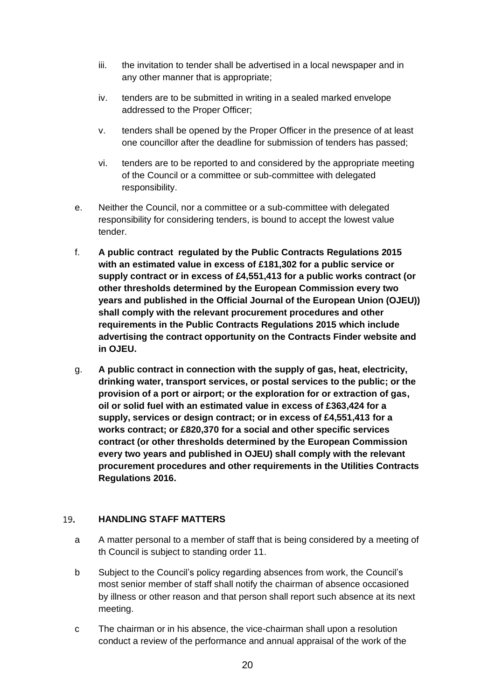- iii. the invitation to tender shall be advertised in a local newspaper and in any other manner that is appropriate;
- iv. tenders are to be submitted in writing in a sealed marked envelope addressed to the Proper Officer;
- v. tenders shall be opened by the Proper Officer in the presence of at least one councillor after the deadline for submission of tenders has passed;
- vi. tenders are to be reported to and considered by the appropriate meeting of the Council or a committee or sub-committee with delegated responsibility.
- e. Neither the Council, nor a committee or a sub-committee with delegated responsibility for considering tenders, is bound to accept the lowest value tender.
- f. **A public contract regulated by the Public Contracts Regulations 2015 with an estimated value in excess of £181,302 for a public service or supply contract or in excess of £4,551,413 for a public works contract (or other thresholds determined by the European Commission every two years and published in the Official Journal of the European Union (OJEU)) shall comply with the relevant procurement procedures and other requirements in the Public Contracts Regulations 2015 which include advertising the contract opportunity on the Contracts Finder website and in OJEU.**
- g. **A public contract in connection with the supply of gas, heat, electricity, drinking water, transport services, or postal services to the public; or the provision of a port or airport; or the exploration for or extraction of gas, oil or solid fuel with an estimated value in excess of £363,424 for a supply, services or design contract; or in excess of £4,551,413 for a works contract; or £820,370 for a social and other specific services contract (or other thresholds determined by the European Commission every two years and published in OJEU) shall comply with the relevant procurement procedures and other requirements in the Utilities Contracts Regulations 2016.**

#### <span id="page-19-0"></span>19. **HANDLING STAFF MATTERS**

- a A matter personal to a member of staff that is being considered by a meeting of th Council is subject to standing order 11.
- b Subject to the Council's policy regarding absences from work, the Council's most senior member of staff shall notify the chairman of absence occasioned by illness or other reason and that person shall report such absence at its next meeting.
- c The chairman or in his absence, the vice-chairman shall upon a resolution conduct a review of the performance and annual appraisal of the work of the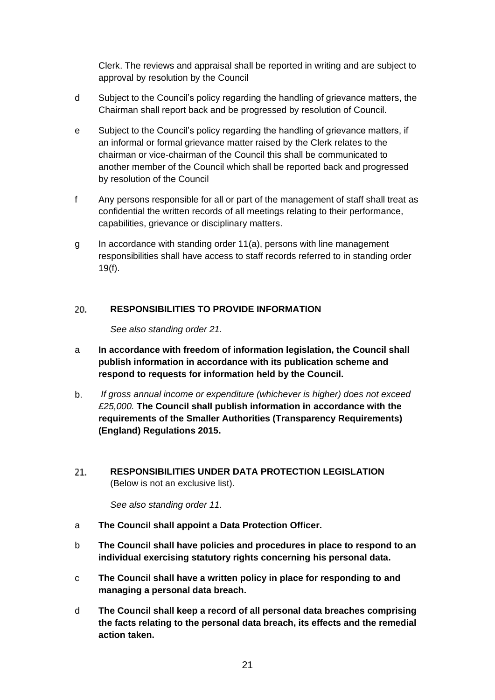Clerk. The reviews and appraisal shall be reported in writing and are subject to approval by resolution by the Council

- d Subject to the Council's policy regarding the handling of grievance matters, the Chairman shall report back and be progressed by resolution of Council.
- e Subject to the Council's policy regarding the handling of grievance matters, if an informal or formal grievance matter raised by the Clerk relates to the chairman or vice-chairman of the Council this shall be communicated to another member of the Council which shall be reported back and progressed by resolution of the Council
- f Any persons responsible for all or part of the management of staff shall treat as confidential the written records of all meetings relating to their performance, capabilities, grievance or disciplinary matters.
- g In accordance with standing order 11(a), persons with line management responsibilities shall have access to staff records referred to in standing order 19(f).

#### <span id="page-20-0"></span>20. **RESPONSIBILITIES TO PROVIDE INFORMATION**

*See also standing order 21.*

- a **In accordance with freedom of information legislation, the Council shall publish information in accordance with its publication scheme and respond to requests for information held by the Council.**
- b. *If gross annual income or expenditure (whichever is higher) does not exceed £25,000.* **The Council shall publish information in accordance with the requirements of the Smaller Authorities (Transparency Requirements) (England) Regulations 2015.**
- <span id="page-20-1"></span>21. **RESPONSIBILITIES UNDER DATA PROTECTION LEGISLATION**  (Below is not an exclusive list).

*See also standing order 11.*

- a **The Council shall appoint a Data Protection Officer.**
- b **The Council shall have policies and procedures in place to respond to an individual exercising statutory rights concerning his personal data.**
- c **The Council shall have a written policy in place for responding to and managing a personal data breach.**
- d **The Council shall keep a record of all personal data breaches comprising the facts relating to the personal data breach, its effects and the remedial action taken.**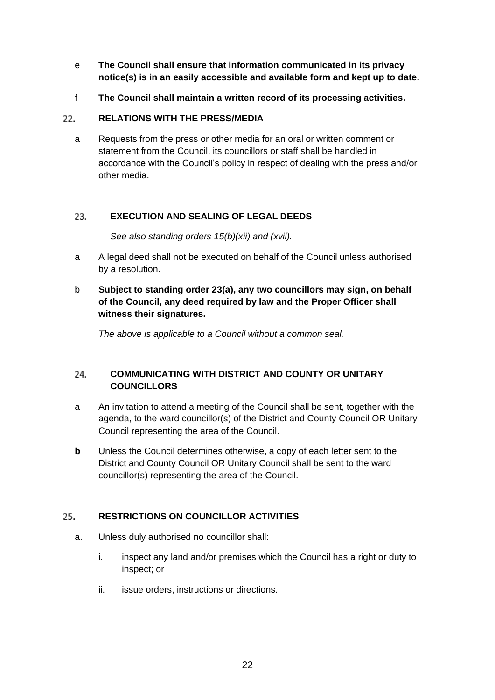- e **The Council shall ensure that information communicated in its privacy notice(s) is in an easily accessible and available form and kept up to date.**
- f **The Council shall maintain a written record of its processing activities.**

#### <span id="page-21-0"></span>22. **RELATIONS WITH THE PRESS/MEDIA**

a Requests from the press or other media for an oral or written comment or statement from the Council, its councillors or staff shall be handled in accordance with the Council's policy in respect of dealing with the press and/or other media.

#### <span id="page-21-1"></span>23. **EXECUTION AND SEALING OF LEGAL DEEDS**

*See also standing orders 15(b)(xii) and (xvii).*

- a A legal deed shall not be executed on behalf of the Council unless authorised by a resolution.
- b **Subject to standing order 23(a), any two councillors may sign, on behalf of the Council, any deed required by law and the Proper Officer shall witness their signatures.**

*The above is applicable to a Council without a common seal.*

## <span id="page-21-2"></span>24. **COMMUNICATING WITH DISTRICT AND COUNTY OR UNITARY COUNCILLORS**

- a An invitation to attend a meeting of the Council shall be sent, together with the agenda, to the ward councillor(s) of the District and County Council OR Unitary Council representing the area of the Council.
- **b** Unless the Council determines otherwise, a copy of each letter sent to the District and County Council OR Unitary Council shall be sent to the ward councillor(s) representing the area of the Council.

#### <span id="page-21-3"></span>25. **RESTRICTIONS ON COUNCILLOR ACTIVITIES**

- a. Unless duly authorised no councillor shall:
	- i. inspect any land and/or premises which the Council has a right or duty to inspect; or
	- ii. issue orders, instructions or directions.